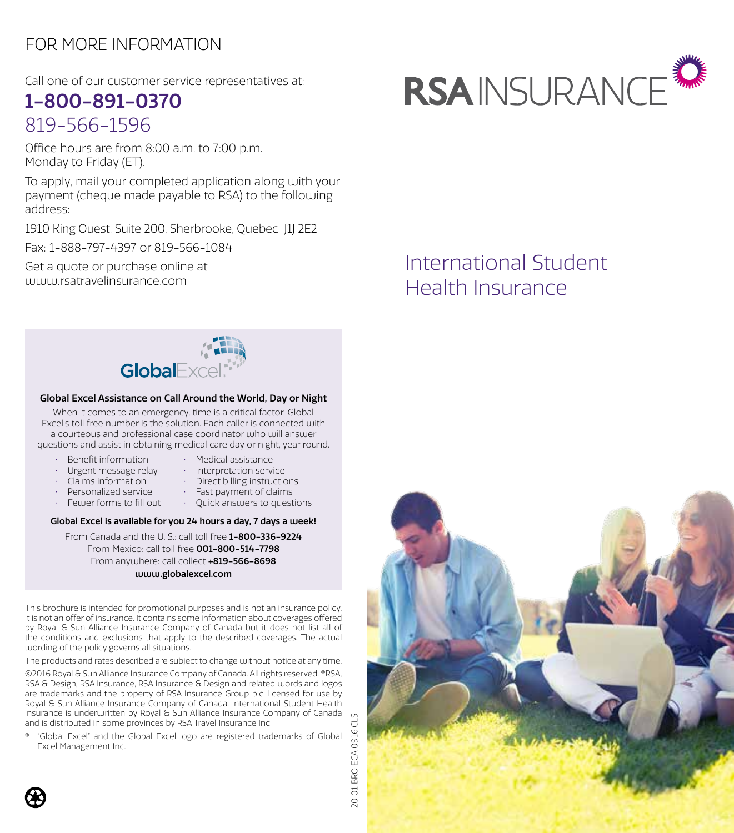## FOR MORE INFORMATION

Call one of our customer service representatives at:

## 1-800-891-0370 819-566-1596

Office hours are from 8:00 a.m. to 7:00 p.m. Monday to Friday (ET).

To apply, mail your completed application along with your payment (cheque made payable to RSA) to the following address:

1910 King Ouest, Suite 200, Sherbrooke, Quebec J1J 2E2

Fax: 1-888-797-4397 or 819-566-1084

Get a quote or purchase online at www.rsatravelinsurance.com



# International Student Health Insurance



#### Global Excel Assistance on Call Around the World, Day or Night

When it comes to an emergency, time is a critical factor. Global Excel's toll free number is the solution. Each caller is connected with a courteous and professional case coordinator who will answer questions and assist in obtaining medical care day or night, year round.

- • Benefit information
- • Medical assistance
- • Urgent message relay
- • Interpretation service
- • Claims information
- • Direct billing instructions
- • Personalized service
- • Fast payment of claims
- • Fewer forms to fill out
- • Quick answers to questions

### Global Excel is available for you 24 hours a day, 7 days a week!

From Canada and the U. S.: call toll free 1-800-336-9224 From Mexico: call toll free 001-800-514-7798 From anywhere: call collect +819-566-8698 www.globalexcel.com

This brochure is intended for promotional purposes and is not an insurance policy. It is not an offer of insurance. It contains some information about coverages offered by Royal & Sun Alliance Insurance Company of Canada but it does not list all of the conditions and exclusions that apply to the described coverages. The actual wording of the policy governs all situations.

The products and rates described are subject to change without notice at any time.

©2016 Royal & Sun Alliance Insurance Company of Canada. All rights reserved. ®RSA, RSA & Design, RSA Insurance, RSA Insurance & Design and related words and logos are trademarks and the property of RSA Insurance Group plc, licensed for use by Royal & Sun Alliance Insurance Company of Canada. International Student Health Insurance is underwritten by Royal & Sun Alliance Insurance Company of Canada and is distributed in some provinces by RSA Travel Insurance Inc.

"Global Excel" and the Global Excel logo are registered trademarks of Global Excel Management Inc.





20 01 BRO ECA 0916 CLS 01 BRO ECA 0916  $\overline{O}$ 

CLS